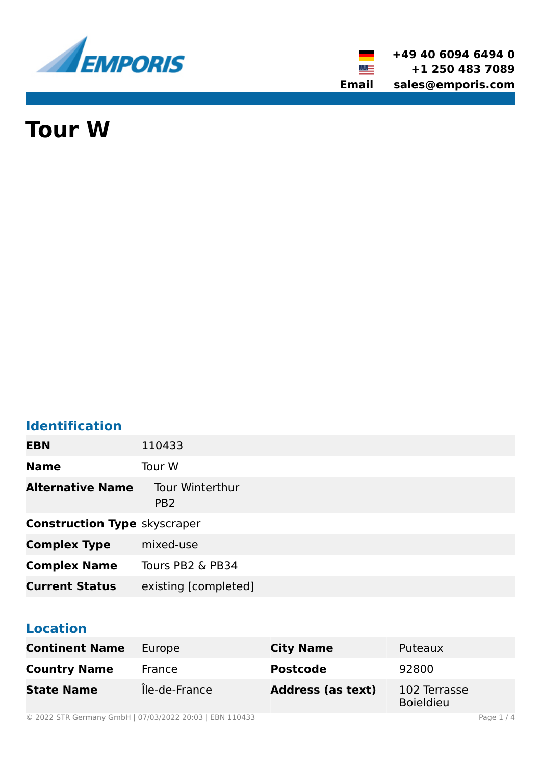

**+49 40 6094 6494 0 +1 250 483 7089 Email sales@emporis.com**

▓▆

# **Tour W**

# **Identification**

| <b>EBN</b>                          | 110433                                    |
|-------------------------------------|-------------------------------------------|
| <b>Name</b>                         | Tour W                                    |
| <b>Alternative Name</b>             | <b>Tour Winterthur</b><br>PB <sub>2</sub> |
| <b>Construction Type skyscraper</b> |                                           |
| <b>Complex Type</b>                 | mixed-use                                 |
| <b>Complex Name</b>                 | Tours PB2 & PB34                          |
| <b>Current Status</b>               | existing [completed]                      |

# **Location**

| <b>Continent Name</b> | Europe        | <b>City Name</b>         | Puteaux                          |
|-----------------------|---------------|--------------------------|----------------------------------|
| <b>Country Name</b>   | France        | <b>Postcode</b>          | 92800                            |
| <b>State Name</b>     | Île-de-France | <b>Address (as text)</b> | 102 Terrasse<br><b>Boieldieu</b> |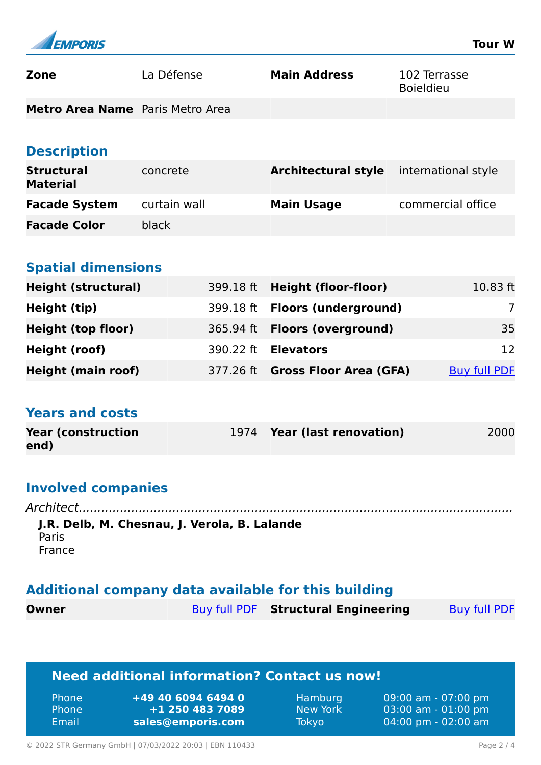

| <b>Zone</b>                      | La Défense | <b>Main Address</b> | 102 Terrasse<br><b>Boieldieu</b> |
|----------------------------------|------------|---------------------|----------------------------------|
| Metro Area Name Paris Metro Area |            |                     |                                  |

#### **Description**

| <b>Structural</b><br><b>Material</b> | concrete     | <b>Architectural style</b> international style |                   |
|--------------------------------------|--------------|------------------------------------------------|-------------------|
| <b>Facade System</b>                 | curtain wall | <b>Main Usage</b>                              | commercial office |
| <b>Facade Color</b>                  | black        |                                                |                   |

# **Spatial dimensions**

| <b>Height (structural)</b> | 399.18 ft Height (floor-floor)       | $10.83$ ft          |
|----------------------------|--------------------------------------|---------------------|
| Height (tip)               | 399.18 ft Floors (underground)       |                     |
| <b>Height (top floor)</b>  | 365.94 ft <b>Floors (overground)</b> | 35                  |
| Height (roof)              | 390.22 ft <b>Elevators</b>           | 12                  |
| <b>Height (main roof)</b>  | 377.26 ft Gross Floor Area (GFA)     | <b>Buy full PDF</b> |

#### **Years and costs**

| <b>Year (construction)</b> | 1974 Year (last renovation) | 2000 |
|----------------------------|-----------------------------|------|
| end)                       |                             |      |

# **Involved companies**

*Architect....................................................................................................................* **J.R. Delb, M. Chesnau, J. Verola, B. Lalande** Paris France

# **Additional company data available for this building**

| Owner | <b>Buy full PDF</b> Structural Engineering | <b>Buy full PDF</b> |
|-------|--------------------------------------------|---------------------|
|       |                                            |                     |

# **Need additional information? Contact us now!**

| <b>Phone</b> | +49 40 6094 6494 0 |
|--------------|--------------------|
| <b>Phone</b> | +1 250 483 7089    |
| Email        | sales@emporis.com  |

Hamburg 09:00 am - 07:00 pm New York 03:00 am - 01:00 pm Tokyo 04:00 pm - 02:00 am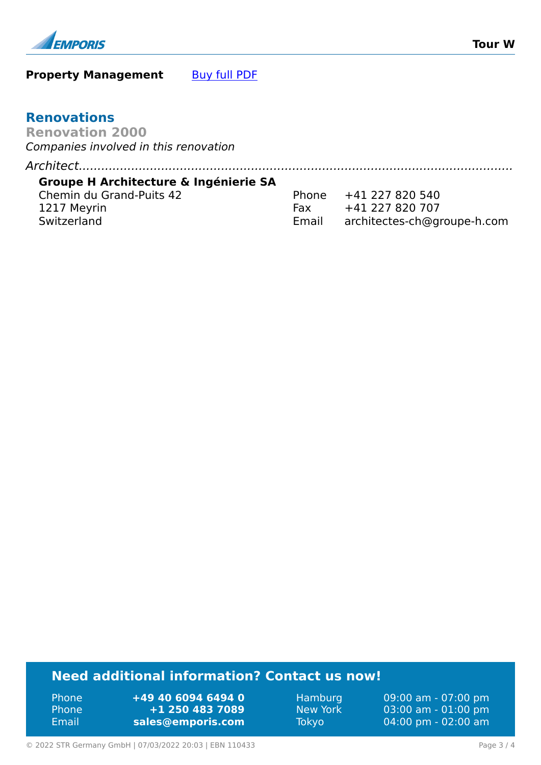

#### **Property Management** [Buy full PDF](https://www.emporis.com/buildings/110433/tour-w-puteaux-france?buypdf=)

#### **Renovations**

**Renovation 2000** *Companies involved in this renovation*

*Architect....................................................................................................................*

#### **Groupe H Architecture & Ingénierie SA**

Chemin du Grand-Puits 42 1217 Meyrin Switzerland

| Phone | +41 227 820 540             |
|-------|-----------------------------|
| Fax   | +41 227 820 707             |
| Email | architectes-ch@groupe-h.com |

# **Need additional information? Contact us now!**

Phone **+49 40 6094 6494 0** Phone **+1 250 483 7089** Email **<sales@emporis.com>**

Hamburg 09:00 am - 07:00 pm New York 03:00 am - 01:00 pm Tokyo 04:00 pm - 02:00 am